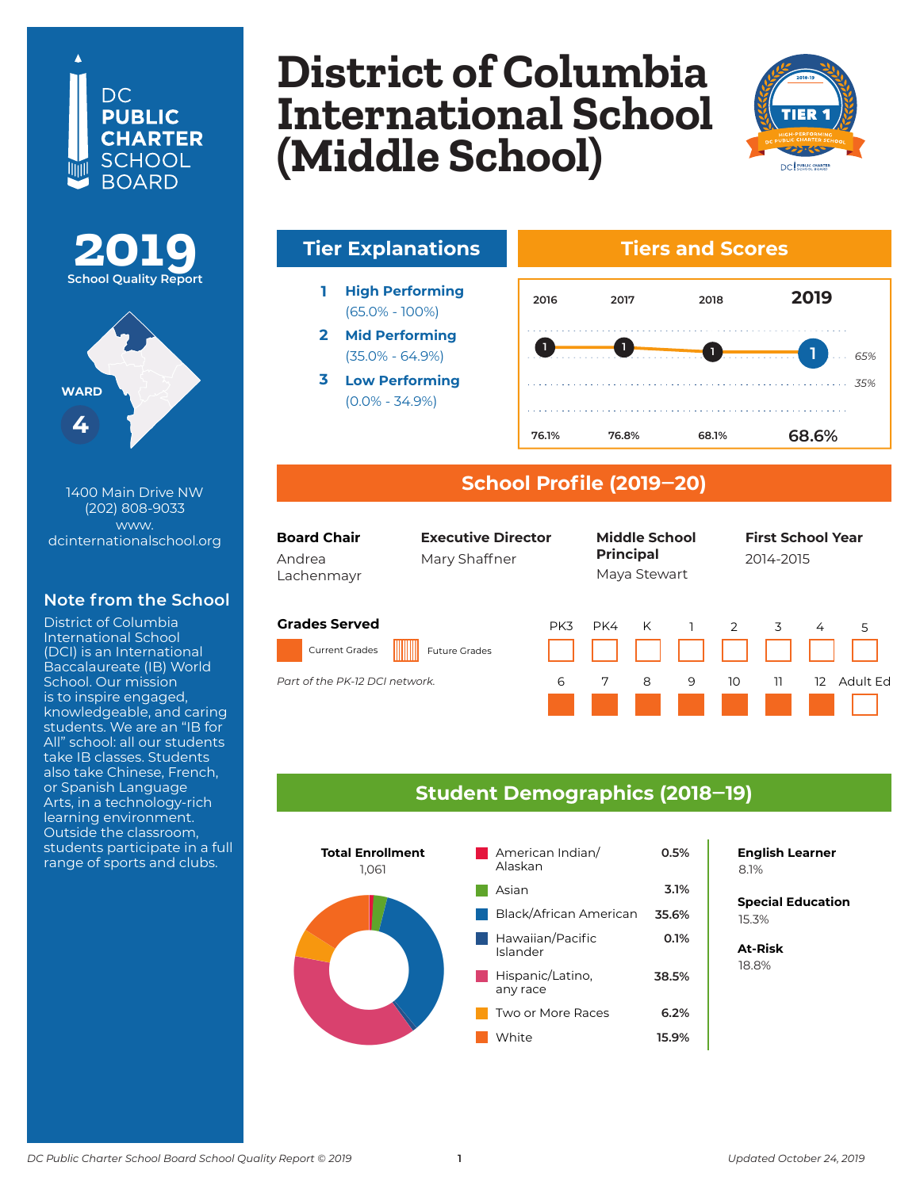## DC. **PUBLIC CHARTER SCHOOL BOARD**





1400 Main Drive NW (202) 808-9033 www. dcinternationalschool.org

### **Note from the School**

District of Columbia International School (DCI) is an International Baccalaureate (IB) World School. Our mission is to inspire engaged, knowledgeable, and caring students. We are an "IB for All" school: all our students take IB classes. Students also take Chinese, French, or Spanish Language Arts, in a technology-rich learning environment. Outside the classroom, students participate in a full

# **District of Columbia International School Columbia Heights (Middle School)**



# **Tier Explanations Tiers and Scores**

- **1 High Performing** (65.0% - 100%)
- **2 Mid Performing** (35.0% - 64.9%)
- **3 Low Performing** (0.0% - 34.9%)



### **School Profile (2019‒20)**



### **Student Demographics (2018‒19)**



**English Learner**

**Special Education** 6.2% 15.3%

**At-Risk** 37.0% 18.8%